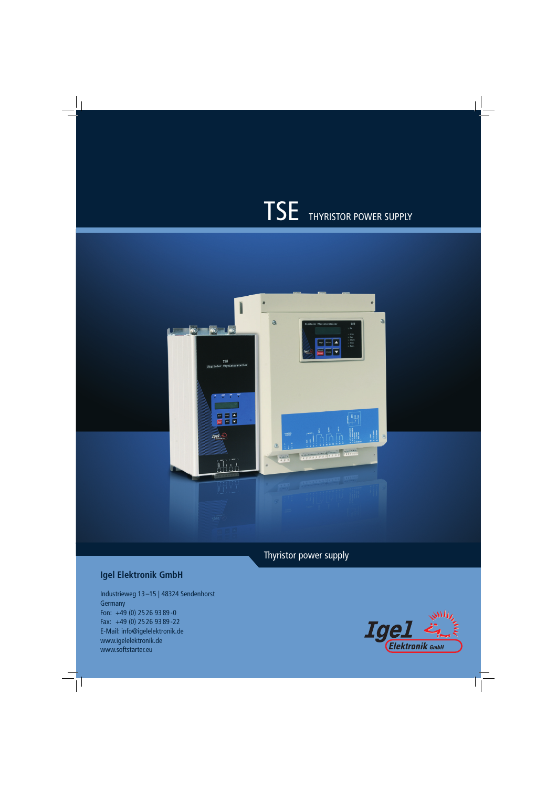# TSE THYRISTOR POWER SUPPLY



Thyristor power supply

# **Igel Elektronik GmbH**

Industrieweg 13 –15 | 48324 Sendenhorst **Germany** Fon: +49 (0) 25 26 93 89 - 0 Fax: +49 (0) 25 26 93 89 - 22 E-Mail: info@igelelektronik.de www.igelelektronik.de www.softstarter.eu